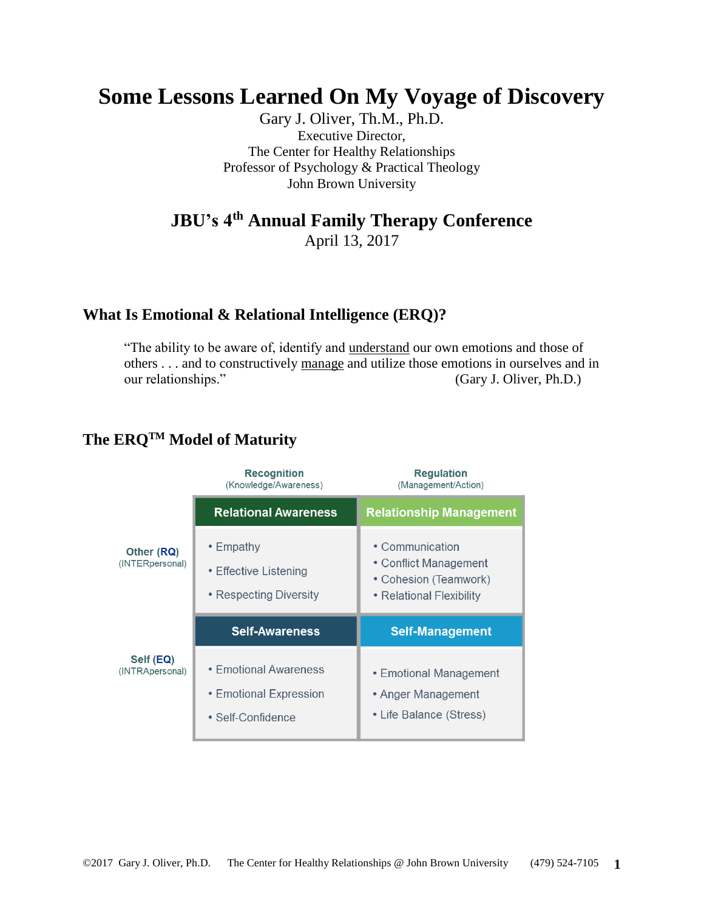# **Some Lessons Learned On My Voyage of Discovery**

Gary J. Oliver, Th.M., Ph.D. Executive Director, The Center for Healthy Relationships Professor of Psychology & Practical Theology John Brown University

## **JBU's 4th Annual Family Therapy Conference**

April 13, 2017

### **What Is Emotional & Relational Intelligence (ERQ)?**

"The ability to be aware of, identify and understand our own emotions and those of others . . . and to constructively manage and utilize those emotions in ourselves and in our relationships." (Gary J. Oliver, Ph.D.)

#### **Recognition Requlation** (Knowledge/Awareness) (Management/Action) **Relational Awareness Relationship Management** • Empathy • Communication Other (RQ) (INTERpersonal) • Conflict Management • Effective Listening • Cohesion (Teamwork) • Respecting Diversity • Relational Flexibility **Self-Management Self-Awareness** Self (EQ) • Emotional Awareness (INTRApersonal) • Emotional Management • Emotional Expression • Anger Management • Life Balance (Stress) • Self-Confidence

### **The ERQTM Model of Maturity**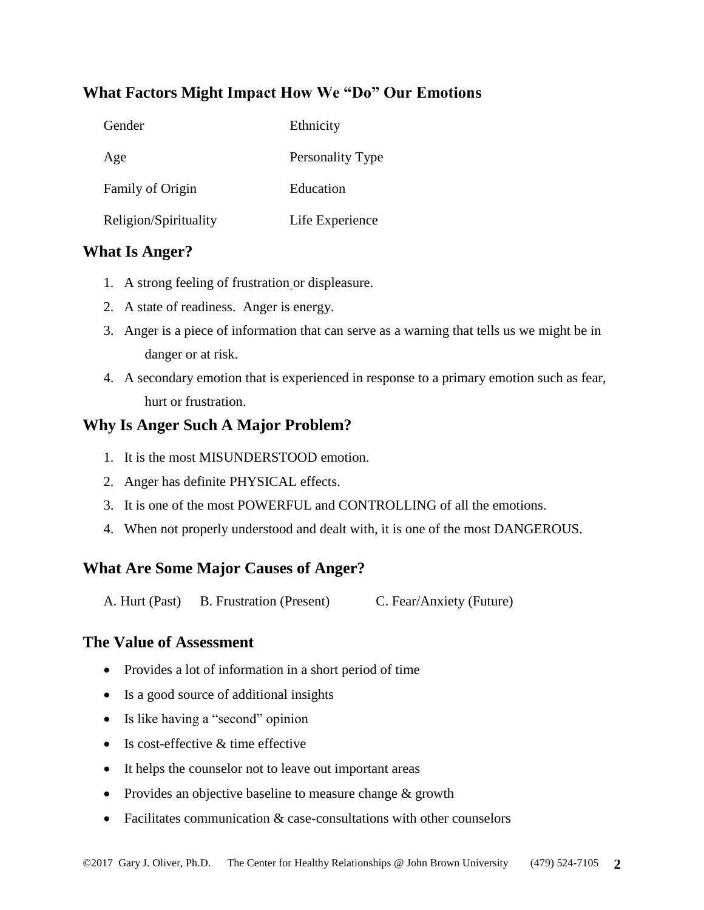### **What Factors Might Impact How We "Do" Our Emotions**

| Gender                | Ethnicity        |
|-----------------------|------------------|
| Age                   | Personality Type |
| Family of Origin      | Education        |
| Religion/Spirituality | Life Experience  |

### **What Is Anger?**

- 1. A strong feeling of frustration or displeasure.
- 2. A state of readiness. Anger is energy.
- 3. Anger is a piece of information that can serve as a warning that tells us we might be in danger or at risk.
- 4. A secondary emotion that is experienced in response to a primary emotion such as fear, hurt or frustration.

### **Why Is Anger Such A Major Problem?**

- 1. It is the most MISUNDERSTOOD emotion.
- 2. Anger has definite PHYSICAL effects.
- 3. It is one of the most POWERFUL and CONTROLLING of all the emotions.
- 4. When not properly understood and dealt with, it is one of the most DANGEROUS.

### **What Are Some Major Causes of Anger?**

A. Hurt (Past) B. Frustration (Present) C. Fear/Anxiety (Future)

#### **The Value of Assessment**

- Provides a lot of information in a short period of time
- Is a good source of additional insights
- Is like having a "second" opinion
- Is cost-effective & time effective
- It helps the counselor not to leave out important areas
- Provides an objective baseline to measure change & growth
- Facilitates communication & case-consultations with other counselors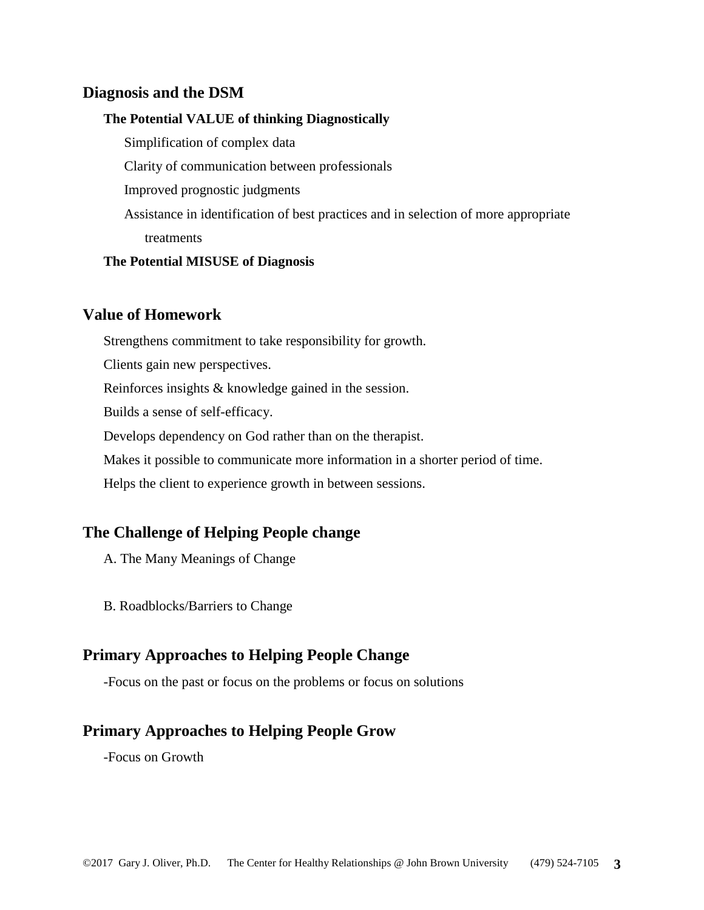#### **Diagnosis and the DSM**

#### **The Potential VALUE of thinking Diagnostically**

Simplification of complex data Clarity of communication between professionals Improved prognostic judgments Assistance in identification of best practices and in selection of more appropriate treatments

#### **The Potential MISUSE of Diagnosis**

#### **Value of Homework**

Strengthens commitment to take responsibility for growth.

Clients gain new perspectives.

Reinforces insights & knowledge gained in the session.

Builds a sense of self-efficacy.

Develops dependency on God rather than on the therapist.

Makes it possible to communicate more information in a shorter period of time.

Helps the client to experience growth in between sessions.

#### **The Challenge of Helping People change**

A. The Many Meanings of Change

B. Roadblocks/Barriers to Change

#### **Primary Approaches to Helping People Change**

-Focus on the past or focus on the problems or focus on solutions

#### **Primary Approaches to Helping People Grow**

-Focus on Growth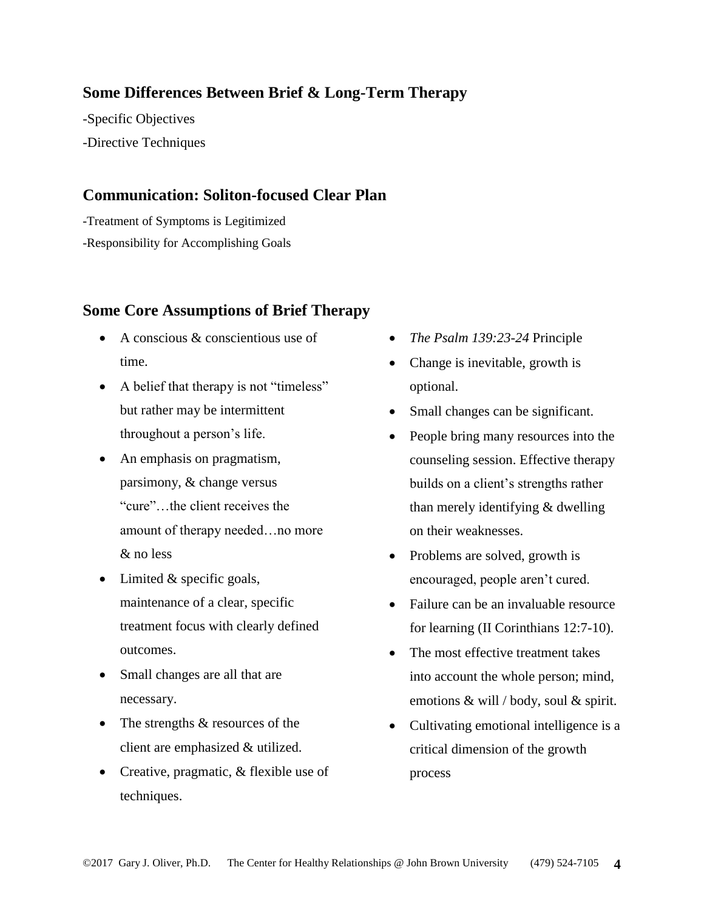### **Some Differences Between Brief & Long-Term Therapy**

-Specific Objectives

-Directive Techniques

### **Communication: Soliton-focused Clear Plan**

-Treatment of Symptoms is Legitimized -Responsibility for Accomplishing Goals

### **Some Core Assumptions of Brief Therapy**

- A conscious  $\&$  conscientious use of time.
- A belief that therapy is not "timeless" but rather may be intermittent throughout a person's life.
- An emphasis on pragmatism, parsimony, & change versus "cure"…the client receives the amount of therapy needed…no more & no less
- Limited & specific goals, maintenance of a clear, specific treatment focus with clearly defined outcomes.
- Small changes are all that are necessary.
- The strengths  $&$  resources of the client are emphasized & utilized.
- Creative, pragmatic, & flexible use of techniques.
- *The Psalm 139:23-24* Principle
- Change is inevitable, growth is optional.
- Small changes can be significant.
- People bring many resources into the counseling session. Effective therapy builds on a client's strengths rather than merely identifying & dwelling on their weaknesses.
- Problems are solved, growth is encouraged, people aren't cured.
- Failure can be an invaluable resource for learning (II Corinthians 12:7-10).
- The most effective treatment takes into account the whole person; mind, emotions & will / body, soul & spirit.
- Cultivating emotional intelligence is a critical dimension of the growth process